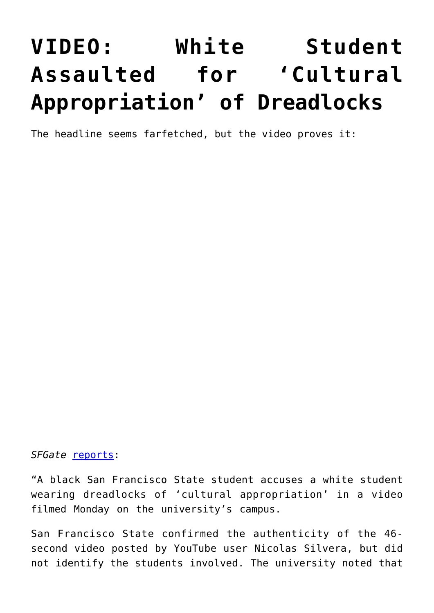## **[VIDEO: White Student](https://intellectualtakeout.org/2016/03/video-white-student-assaulted-for-cultural-appropriation-of-dreadlocks/) [Assaulted for 'Cultural](https://intellectualtakeout.org/2016/03/video-white-student-assaulted-for-cultural-appropriation-of-dreadlocks/) [Appropriation' of Dreadlocks](https://intellectualtakeout.org/2016/03/video-white-student-assaulted-for-cultural-appropriation-of-dreadlocks/)**

The headline seems farfetched, but the video proves it:

## *SFGate* [reports](http://www.sfgate.com/bayarea/article/White-SF-St-student-with-dreads-accused-of-7215259.php):

"A black San Francisco State student accuses a white student wearing dreadlocks of 'cultural appropriation' in a video filmed Monday on the university's campus.

San Francisco State confirmed the authenticity of the 46 second video posted by YouTube user Nicolas Silvera, but did not identify the students involved. The university noted that